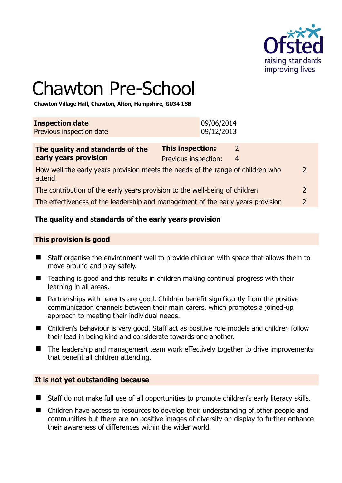

# Chawton Pre-School

**Chawton Village Hall, Chawton, Alton, Hampshire, GU34 1SB** 

| <b>Inspection date</b>   | 09/06/2014 |
|--------------------------|------------|
| Previous inspection date | 09/12/2013 |
|                          |            |

| Previous inspection: | 4 |                                                                                                                                                                                                                                                                              |
|----------------------|---|------------------------------------------------------------------------------------------------------------------------------------------------------------------------------------------------------------------------------------------------------------------------------|
|                      |   | $\mathcal{L}$                                                                                                                                                                                                                                                                |
|                      |   |                                                                                                                                                                                                                                                                              |
|                      |   | $\mathcal{L}$                                                                                                                                                                                                                                                                |
|                      |   | <b>This inspection:</b><br>How well the early years provision meets the needs of the range of children who<br>The contribution of the early years provision to the well-being of children<br>The effectiveness of the leadership and management of the early years provision |

# **The quality and standards of the early years provision**

#### **This provision is good**

- Staff organise the environment well to provide children with space that allows them to move around and play safely.
- Teaching is good and this results in children making continual progress with their learning in all areas.
- Partnerships with parents are good. Children benefit significantly from the positive communication channels between their main carers, which promotes a joined-up approach to meeting their individual needs.
- Children's behaviour is very good. Staff act as positive role models and children follow their lead in being kind and considerate towards one another.
- The leadership and management team work effectively together to drive improvements that benefit all children attending.

#### **It is not yet outstanding because**

- Staff do not make full use of all opportunities to promote children's early literacy skills.
- Children have access to resources to develop their understanding of other people and communities but there are no positive images of diversity on display to further enhance their awareness of differences within the wider world.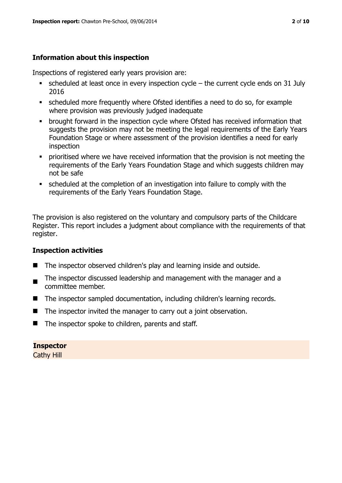# **Information about this inspection**

Inspections of registered early years provision are:

- scheduled at least once in every inspection cycle the current cycle ends on 31 July 2016
- scheduled more frequently where Ofsted identifies a need to do so, for example where provision was previously judged inadequate
- **•** brought forward in the inspection cycle where Ofsted has received information that suggests the provision may not be meeting the legal requirements of the Early Years Foundation Stage or where assessment of the provision identifies a need for early inspection
- **•** prioritised where we have received information that the provision is not meeting the requirements of the Early Years Foundation Stage and which suggests children may not be safe
- scheduled at the completion of an investigation into failure to comply with the requirements of the Early Years Foundation Stage.

The provision is also registered on the voluntary and compulsory parts of the Childcare Register. This report includes a judgment about compliance with the requirements of that register.

# **Inspection activities**

- The inspector observed children's play and learning inside and outside.
- . The inspector discussed leadership and management with the manager and a committee member.
- The inspector sampled documentation, including children's learning records.
- $\blacksquare$  The inspector invited the manager to carry out a joint observation.
- The inspector spoke to children, parents and staff.

# **Inspector**

Cathy Hill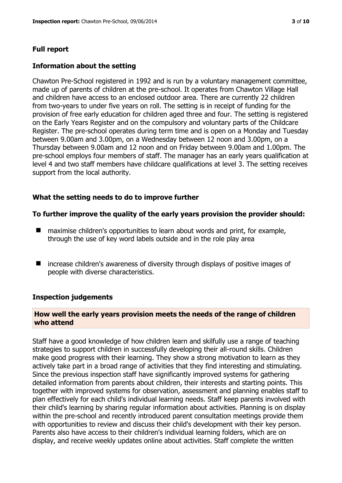#### **Full report**

#### **Information about the setting**

Chawton Pre-School registered in 1992 and is run by a voluntary management committee, made up of parents of children at the pre-school. It operates from Chawton Village Hall and children have access to an enclosed outdoor area. There are currently 22 children from two-years to under five years on roll. The setting is in receipt of funding for the provision of free early education for children aged three and four. The setting is registered on the Early Years Register and on the compulsory and voluntary parts of the Childcare Register. The pre-school operates during term time and is open on a Monday and Tuesday between 9.00am and 3.00pm, on a Wednesday between 12 noon and 3.00pm, on a Thursday between 9.00am and 12 noon and on Friday between 9.00am and 1.00pm. The pre-school employs four members of staff. The manager has an early years qualification at level 4 and two staff members have childcare qualifications at level 3. The setting receives support from the local authority.

#### **What the setting needs to do to improve further**

#### **To further improve the quality of the early years provision the provider should:**

- maximise children's opportunities to learn about words and print, for example, through the use of key word labels outside and in the role play area
- increase children's awareness of diversity through displays of positive images of people with diverse characteristics.

#### **Inspection judgements**

#### **How well the early years provision meets the needs of the range of children who attend**

Staff have a good knowledge of how children learn and skilfully use a range of teaching strategies to support children in successfully developing their all-round skills. Children make good progress with their learning. They show a strong motivation to learn as they actively take part in a broad range of activities that they find interesting and stimulating. Since the previous inspection staff have significantly improved systems for gathering detailed information from parents about children, their interests and starting points. This together with improved systems for observation, assessment and planning enables staff to plan effectively for each child's individual learning needs. Staff keep parents involved with their child's learning by sharing regular information about activities. Planning is on display within the pre-school and recently introduced parent consultation meetings provide them with opportunities to review and discuss their child's development with their key person. Parents also have access to their children's individual learning folders, which are on display, and receive weekly updates online about activities. Staff complete the written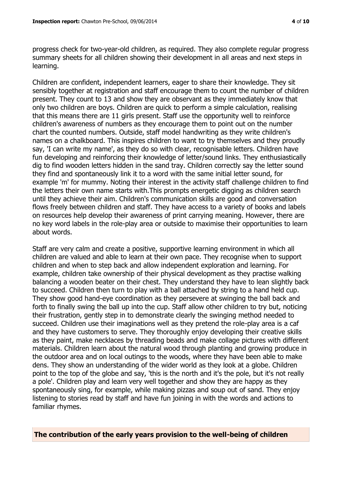progress check for two-year-old children, as required. They also complete regular progress summary sheets for all children showing their development in all areas and next steps in learning.

Children are confident, independent learners, eager to share their knowledge. They sit sensibly together at registration and staff encourage them to count the number of children present. They count to 13 and show they are observant as they immediately know that only two children are boys. Children are quick to perform a simple calculation, realising that this means there are 11 girls present. Staff use the opportunity well to reinforce children's awareness of numbers as they encourage them to point out on the number chart the counted numbers. Outside, staff model handwriting as they write children's names on a chalkboard. This inspires children to want to try themselves and they proudly say, 'I can write my name', as they do so with clear, recognisable letters. Children have fun developing and reinforcing their knowledge of letter/sound links. They enthusiastically dig to find wooden letters hidden in the sand tray. Children correctly say the letter sound they find and spontaneously link it to a word with the same initial letter sound, for example 'm' for mummy. Noting their interest in the activity staff challenge children to find the letters their own name starts with.This prompts energetic digging as children search until they achieve their aim. Children's communication skills are good and conversation flows freely between children and staff. They have access to a variety of books and labels on resources help develop their awareness of print carrying meaning. However, there are no key word labels in the role-play area or outside to maximise their opportunities to learn about words.

Staff are very calm and create a positive, supportive learning environment in which all children are valued and able to learn at their own pace. They recognise when to support children and when to step back and allow independent exploration and learning. For example, children take ownership of their physical development as they practise walking balancing a wooden beater on their chest. They understand they have to lean slightly back to succeed. Children then turn to play with a ball attached by string to a hand held cup. They show good hand-eye coordination as they persevere at swinging the ball back and forth to finally swing the ball up into the cup. Staff allow other children to try but, noticing their frustration, gently step in to demonstrate clearly the swinging method needed to succeed. Children use their imaginations well as they pretend the role-play area is a caf and they have customers to serve. They thoroughly enjoy developing their creative skills as they paint, make necklaces by threading beads and make collage pictures with different materials. Children learn about the natural wood through planting and growing produce in the outdoor area and on local outings to the woods, where they have been able to make dens. They show an understanding of the wider world as they look at a globe. Children point to the top of the globe and say, 'this is the north and it's the pole, but it's not really a pole'. Children play and learn very well together and show they are happy as they spontaneously sing, for example, while making pizzas and soup out of sand. They enjoy listening to stories read by staff and have fun joining in with the words and actions to familiar rhymes.

**The contribution of the early years provision to the well-being of children**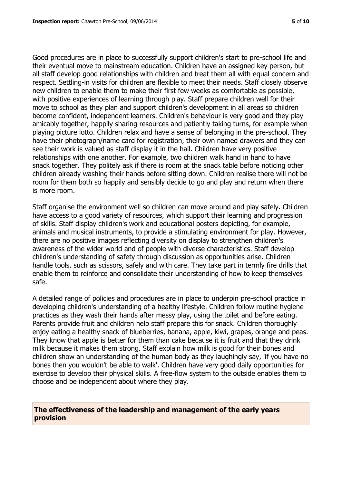Good procedures are in place to successfully support children's start to pre-school life and their eventual move to mainstream education. Children have an assigned key person, but all staff develop good relationships with children and treat them all with equal concern and respect. Settling-in visits for children are flexible to meet their needs. Staff closely observe new children to enable them to make their first few weeks as comfortable as possible, with positive experiences of learning through play. Staff prepare children well for their move to school as they plan and support children's development in all areas so children become confident, independent learners. Children's behaviour is very good and they play amicably together, happily sharing resources and patiently taking turns, for example when playing picture lotto. Children relax and have a sense of belonging in the pre-school. They have their photograph/name card for registration, their own named drawers and they can see their work is valued as staff display it in the hall. Children have very positive relationships with one another. For example, two children walk hand in hand to have snack together. They politely ask if there is room at the snack table before noticing other children already washing their hands before sitting down. Children realise there will not be room for them both so happily and sensibly decide to go and play and return when there is more room.

Staff organise the environment well so children can move around and play safely. Children have access to a good variety of resources, which support their learning and progression of skills. Staff display children's work and educational posters depicting, for example, animals and musical instruments, to provide a stimulating environment for play. However, there are no positive images reflecting diversity on display to strengthen children's awareness of the wider world and of people with diverse characteristics. Staff develop children's understanding of safety through discussion as opportunities arise. Children handle tools, such as scissors, safely and with care. They take part in termly fire drills that enable them to reinforce and consolidate their understanding of how to keep themselves safe.

A detailed range of policies and procedures are in place to underpin pre-school practice in developing children's understanding of a healthy lifestyle. Children follow routine hygiene practices as they wash their hands after messy play, using the toilet and before eating. Parents provide fruit and children help staff prepare this for snack. Children thoroughly enjoy eating a healthy snack of blueberries, banana, apple, kiwi, grapes, orange and peas. They know that apple is better for them than cake because it is fruit and that they drink milk because it makes them strong. Staff explain how milk is good for their bones and children show an understanding of the human body as they laughingly say, 'if you have no bones then you wouldn't be able to walk'. Children have very good daily opportunities for exercise to develop their physical skills. A free-flow system to the outside enables them to choose and be independent about where they play.

#### **The effectiveness of the leadership and management of the early years provision**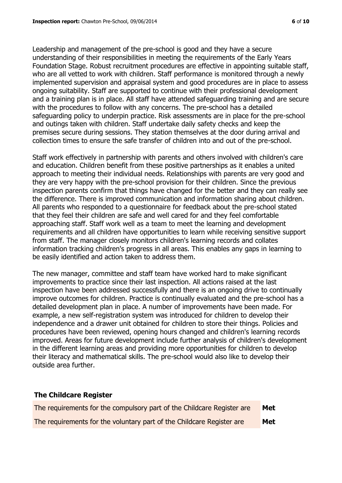Leadership and management of the pre-school is good and they have a secure understanding of their responsibilities in meeting the requirements of the Early Years Foundation Stage. Robust recruitment procedures are effective in appointing suitable staff, who are all vetted to work with children. Staff performance is monitored through a newly implemented supervision and appraisal system and good procedures are in place to assess ongoing suitability. Staff are supported to continue with their professional development and a training plan is in place. All staff have attended safeguarding training and are secure with the procedures to follow with any concerns. The pre-school has a detailed safeguarding policy to underpin practice. Risk assessments are in place for the pre-school and outings taken with children. Staff undertake daily safety checks and keep the premises secure during sessions. They station themselves at the door during arrival and collection times to ensure the safe transfer of children into and out of the pre-school.

Staff work effectively in partnership with parents and others involved with children's care and education. Children benefit from these positive partnerships as it enables a united approach to meeting their individual needs. Relationships with parents are very good and they are very happy with the pre-school provision for their children. Since the previous inspection parents confirm that things have changed for the better and they can really see the difference. There is improved communication and information sharing about children. All parents who responded to a questionnaire for feedback about the pre-school stated that they feel their children are safe and well cared for and they feel comfortable approaching staff. Staff work well as a team to meet the learning and development requirements and all children have opportunities to learn while receiving sensitive support from staff. The manager closely monitors children's learning records and collates information tracking children's progress in all areas. This enables any gaps in learning to be easily identified and action taken to address them.

The new manager, committee and staff team have worked hard to make significant improvements to practice since their last inspection. All actions raised at the last inspection have been addressed successfully and there is an ongoing drive to continually improve outcomes for children. Practice is continually evaluated and the pre-school has a detailed development plan in place. A number of improvements have been made. For example, a new self-registration system was introduced for children to develop their independence and a drawer unit obtained for children to store their things. Policies and procedures have been reviewed, opening hours changed and children's learning records improved. Areas for future development include further analysis of children's development in the different learning areas and providing more opportunities for children to develop their literacy and mathematical skills. The pre-school would also like to develop their outside area further.

# **The Childcare Register**

| The requirements for the compulsory part of the Childcare Register are | Met |
|------------------------------------------------------------------------|-----|
| The requirements for the voluntary part of the Childcare Register are  | Met |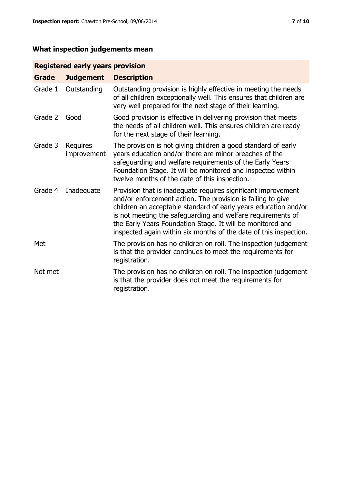# **What inspection judgements mean**

# **Registered early years provision**

| <b>Grade</b> | <b>Judgement</b>        | <b>Description</b>                                                                                                                                                                                                                                                                                                                                                                                |
|--------------|-------------------------|---------------------------------------------------------------------------------------------------------------------------------------------------------------------------------------------------------------------------------------------------------------------------------------------------------------------------------------------------------------------------------------------------|
| Grade 1      | Outstanding             | Outstanding provision is highly effective in meeting the needs<br>of all children exceptionally well. This ensures that children are<br>very well prepared for the next stage of their learning.                                                                                                                                                                                                  |
| Grade 2      | Good                    | Good provision is effective in delivering provision that meets<br>the needs of all children well. This ensures children are ready<br>for the next stage of their learning.                                                                                                                                                                                                                        |
| Grade 3      | Requires<br>improvement | The provision is not giving children a good standard of early<br>years education and/or there are minor breaches of the<br>safeguarding and welfare requirements of the Early Years<br>Foundation Stage. It will be monitored and inspected within<br>twelve months of the date of this inspection.                                                                                               |
| Grade 4      | Inadequate              | Provision that is inadequate requires significant improvement<br>and/or enforcement action. The provision is failing to give<br>children an acceptable standard of early years education and/or<br>is not meeting the safeguarding and welfare requirements of<br>the Early Years Foundation Stage. It will be monitored and<br>inspected again within six months of the date of this inspection. |
| Met          |                         | The provision has no children on roll. The inspection judgement<br>is that the provider continues to meet the requirements for<br>registration.                                                                                                                                                                                                                                                   |
| Not met      |                         | The provision has no children on roll. The inspection judgement<br>is that the provider does not meet the requirements for<br>registration.                                                                                                                                                                                                                                                       |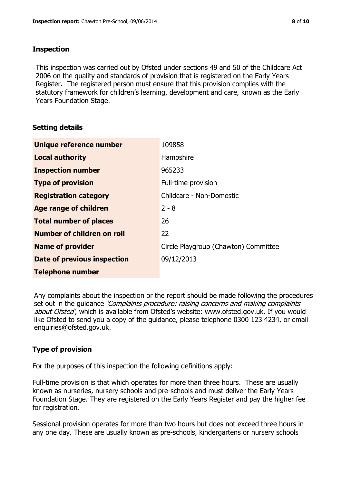#### **Inspection**

This inspection was carried out by Ofsted under sections 49 and 50 of the Childcare Act 2006 on the quality and standards of provision that is registered on the Early Years Register. The registered person must ensure that this provision complies with the statutory framework for children's learning, development and care, known as the Early Years Foundation Stage.

# **Setting details**

| Unique reference number       | 109858                               |
|-------------------------------|--------------------------------------|
| <b>Local authority</b>        | Hampshire                            |
| <b>Inspection number</b>      | 965233                               |
| <b>Type of provision</b>      | Full-time provision                  |
| <b>Registration category</b>  | Childcare - Non-Domestic             |
| Age range of children         | $2 - 8$                              |
| <b>Total number of places</b> | 26                                   |
| Number of children on roll    | 22                                   |
| <b>Name of provider</b>       | Circle Playgroup (Chawton) Committee |
| Date of previous inspection   | 09/12/2013                           |
| <b>Telephone number</b>       |                                      |

Any complaints about the inspection or the report should be made following the procedures set out in the guidance *'Complaints procedure: raising concerns and making complaints* about Ofsted', which is available from Ofsted's website: www.ofsted.gov.uk. If you would like Ofsted to send you a copy of the guidance, please telephone 0300 123 4234, or email enquiries@ofsted.gov.uk.

# **Type of provision**

For the purposes of this inspection the following definitions apply:

Full-time provision is that which operates for more than three hours. These are usually known as nurseries, nursery schools and pre-schools and must deliver the Early Years Foundation Stage. They are registered on the Early Years Register and pay the higher fee for registration.

Sessional provision operates for more than two hours but does not exceed three hours in any one day. These are usually known as pre-schools, kindergartens or nursery schools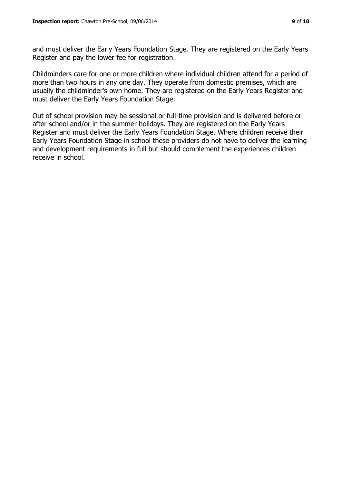and must deliver the Early Years Foundation Stage. They are registered on the Early Years Register and pay the lower fee for registration.

Childminders care for one or more children where individual children attend for a period of more than two hours in any one day. They operate from domestic premises, which are usually the childminder's own home. They are registered on the Early Years Register and must deliver the Early Years Foundation Stage.

Out of school provision may be sessional or full-time provision and is delivered before or after school and/or in the summer holidays. They are registered on the Early Years Register and must deliver the Early Years Foundation Stage. Where children receive their Early Years Foundation Stage in school these providers do not have to deliver the learning and development requirements in full but should complement the experiences children receive in school.